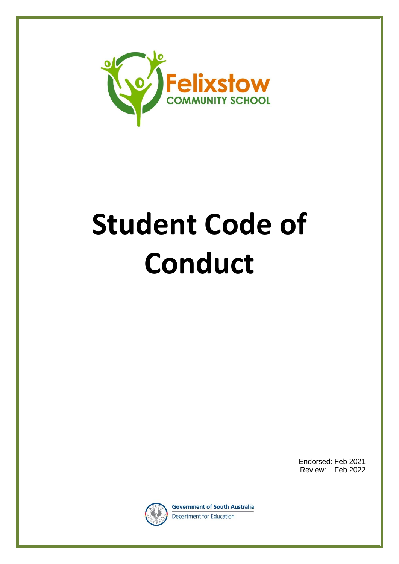

# **Student Code of Conduct**

Endorsed: Feb 2021 Review: Feb 2022



**Government of South Australia** Department for Education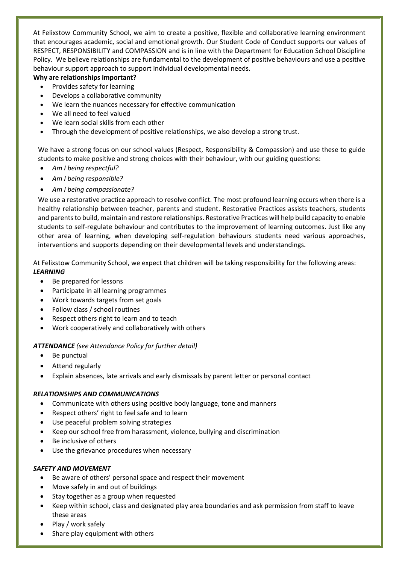At Felixstow Community School, we aim to create a positive, flexible and collaborative learning environment that encourages academic, social and emotional growth. Our Student Code of Conduct supports our values of RESPECT, RESPONSIBILITY and COMPASSION and is in line with the Department for Education School Discipline Policy. We believe relationships are fundamental to the development of positive behaviours and use a positive behaviour support approach to support individual developmental needs.

# **Why are relationships important?**

- Provides safety for learning
- Develops a collaborative community
- We learn the nuances necessary for effective communication
- We all need to feel valued
- We learn social skills from each other
- Through the development of positive relationships, we also develop a strong trust.

We have a strong focus on our school values (Respect, Responsibility & Compassion) and use these to guide students to make positive and strong choices with their behaviour, with our guiding questions:

- *Am I being respectful?*
- *Am I being responsible?*
- *Am I being compassionate?*

We use a restorative practice approach to resolve conflict. The most profound learning occurs when there is a healthy relationship between teacher, parents and student. Restorative Practices assists teachers, students and parents to build, maintain and restore relationships. Restorative Practices will help build capacity to enable students to self-regulate behaviour and contributes to the improvement of learning outcomes. Just like any other area of learning, when developing self-regulation behaviours students need various approaches, interventions and supports depending on their developmental levels and understandings.

At Felixstow Community School, we expect that children will be taking responsibility for the following areas: *LEARNING*

- Be prepared for lessons
- Participate in all learning programmes
- Work towards targets from set goals
- Follow class / school routines
- Respect others right to learn and to teach
- Work cooperatively and collaboratively with others

## *ATTENDANCE (see Attendance Policy for further detail)*

- Be punctual
- Attend regularly
- Explain absences, late arrivals and early dismissals by parent letter or personal contact

## *RELATIONSHIPS AND COMMUNICATIONS*

- Communicate with others using positive body language, tone and manners
- Respect others' right to feel safe and to learn
- Use peaceful problem solving strategies
- Keep our school free from harassment, violence, bullying and discrimination
- Be inclusive of others
- Use the grievance procedures when necessary

## *SAFETY AND MOVEMENT*

- Be aware of others' personal space and respect their movement
- Move safely in and out of buildings
- Stay together as a group when requested
- Keep within school, class and designated play area boundaries and ask permission from staff to leave these areas
- Play / work safely
- Share play equipment with others